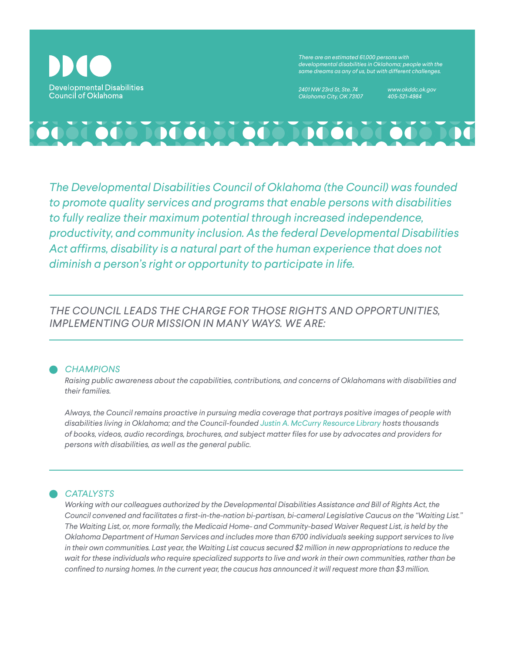

*There are an estimated 61,000 persons with developmental disabilities in Oklahoma; people with the same dreams as any of us, but with different challenges.*

*2401 NW 23rd St, Ste. 74 Oklahoma City, OK 73107* *www.okddc.ok.gov 405-521-4984*



*The Developmental Disabilities Council of Oklahoma (the Council) was founded to promote quality services and programs that enable persons with disabilities to fully realize their maximum potential through increased independence, productivity, and community inclusion. As the federal Developmental Disabilities Act affirms, disability is a natural part of the human experience that does not diminish a person's right or opportunity to participate in life.*

*THE COUNCIL LEADS THE CHARGE FOR THOSE RIGHTS AND OPPORTUNITIES, IMPLEMENTING OUR MISSION IN MANY WAYS. WE ARE:*

## *CHAMPIONS*

*Raising public awareness about the capabilities, contributions, and concerns of Oklahomans with disabilities and their families.*

*Always, the Council remains proactive in pursuing media coverage that portrays positive images of people with disabilities living in Oklahoma; and the Council-founded Justin A. McCurry Resource Library hosts thousands of books, videos, audio recordings, brochures, and subject matter files for use by advocates and providers for persons with disabilities, as well as the general public.*

# *CATALYSTS*

*Working with our colleagues authorized by the Developmental Disabilities Assistance and Bill of Rights Act, the Council convened and facilitates a first-in-the-nation bi-partisan, bi-cameral Legislative Caucus on the "Waiting List." The Waiting List, or, more formally, the Medicaid Home- and Community-based Waiver Request List, is held by the Oklahoma Department of Human Services and includes more than 6700 individuals seeking support services to live in their own communities. Last year, the Waiting List caucus secured \$2 million in new appropriations to reduce the wait for these individuals who require specialized supports to live and work in their own communities, rather than be confined to nursing homes. In the current year, the caucus has announced it will request more than \$3 million.*